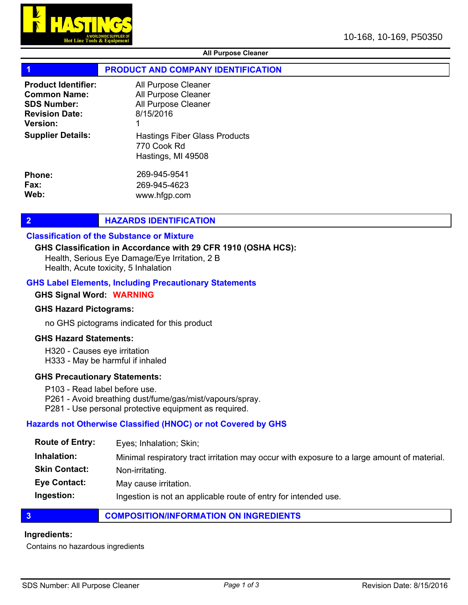

## All Purpose Cleaner

# PRODUCT AND COMPANY IDENTIFICATION

| <b>Product Identifier:</b> | All Purpose Cleaner                                                |
|----------------------------|--------------------------------------------------------------------|
| <b>Common Name:</b>        | All Purpose Cleaner                                                |
| <b>SDS Number:</b>         | All Purpose Cleaner                                                |
| <b>Revision Date:</b>      | 8/15/2016                                                          |
| <b>Version:</b>            | 1                                                                  |
| <b>Supplier Details:</b>   | Hastings Fiber Glass Products<br>770 Cook Rd<br>Hastings, MI 49508 |
| <b>Phone:</b>              | 269-945-9541                                                       |
| Fax:                       | 269-945-4623                                                       |
| Web:                       | www.hfgp.com                                                       |

# **2 HAZARDS IDENTIFICATION**

## Classification of the Substance or Mixture

#### GHS Classification in Accordance with 29 CFR 1910 (OSHA HCS):

Health, Serious Eye Damage/Eye Irritation, 2 B Health, Acute toxicity, 5 Inhalation

#### GHS Label Elements, Including Precautionary Statements

#### GHS Signal Word: WARNING

#### GHS Hazard Pictograms:

no GHS pictograms indicated for this product

#### GHS Hazard Statements:

- H320 Causes eye irritation
- H333 May be harmful if inhaled

#### GHS Precautionary Statements:

- P103 Read label before use.
- P261 Avoid breathing dust/fume/gas/mist/vapours/spray.
- P281 Use personal protective equipment as required.

# Hazards not Otherwise Classified (HNOC) or not Covered by GHS

| <b>Route of Entry:</b> | Eyes; Inhalation; Skin;                                                                     |
|------------------------|---------------------------------------------------------------------------------------------|
| Inhalation:            | Minimal respiratory tract irritation may occur with exposure to a large amount of material. |
| <b>Skin Contact:</b>   | Non-irritating.                                                                             |
| <b>Eye Contact:</b>    | May cause irritation.                                                                       |
| Ingestion:             | Ingestion is not an applicable route of entry for intended use.                             |

# **3 COMPOSITION/INFORMATION ON INGREDIENTS**

#### Ingredients:

Contains no hazardous ingredients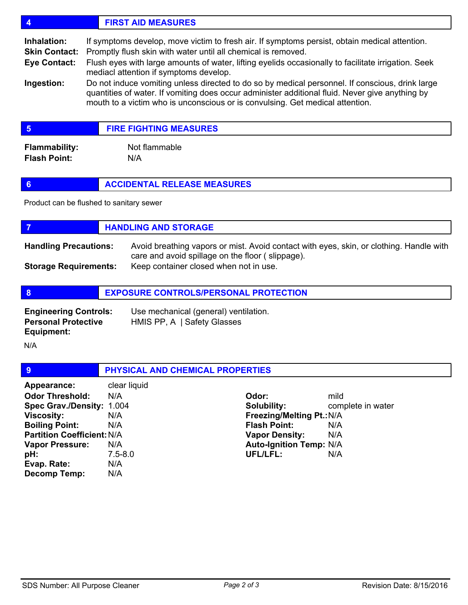# 4 FIRST AID MEASURES

If symptoms develop, move victim to fresh air. If symptoms persist, obtain medical attention. Inhalation:

Promptly flush skin with water until all chemical is removed. Skin Contact:

Flush eyes with large amounts of water, lifting eyelids occasionally to facilitate irrigation. Seek mediacl attention if symptoms develop. Eye Contact:

Do not induce vomiting unless directed to do so by medical personnel. If conscious, drink large quantities of water. If vomiting does occur administer additional fluid. Never give anything by mouth to a victim who is unconscious or is convulsing. Get medical attention. Ingestion:

| <b>FIRE FIGHTING MEASURES</b> |
|-------------------------------|
|-------------------------------|

Flammability: Not flammable Flash Point: N/A

# **6 ACCIDENTAL RELEASE MEASURES**

Product can be flushed to sanitary sewer

|                              | <b>HANDLING AND STORAGE</b>                                                                                                                 |
|------------------------------|---------------------------------------------------------------------------------------------------------------------------------------------|
| <b>Handling Precautions:</b> | Avoid breathing vapors or mist. Avoid contact with eyes, skin, or clothing. Handle with<br>care and avoid spillage on the floor (slippage). |
| <b>Storage Requirements:</b> | Keep container closed when not in use.                                                                                                      |

| - 8                                                                      | <b>EXPOSURE CONTROLS/PERSONAL PROTECTION</b>                         |  |
|--------------------------------------------------------------------------|----------------------------------------------------------------------|--|
| <b>Engineering Controls:</b><br><b>Personal Protective</b><br>Equipment: | Use mechanical (general) ventilation.<br>HMIS PP, A   Safety Glasses |  |

N/A

| 9                                 |              | PHYSICAL AND CHEMICAL PROPERTIES |                                |                   |
|-----------------------------------|--------------|----------------------------------|--------------------------------|-------------------|
| Appearance:                       | clear liquid |                                  |                                |                   |
| <b>Odor Threshold:</b>            | N/A          |                                  | Odor:                          | mild              |
| Spec Grav./Density: 1.004         |              |                                  | Solubility:                    | complete in water |
| <b>Viscosity:</b>                 | N/A          |                                  | Freezing/Melting Pt.: N/A      |                   |
| <b>Boiling Point:</b>             | N/A          |                                  | <b>Flash Point:</b>            | N/A               |
| <b>Partition Coefficient: N/A</b> |              |                                  | <b>Vapor Density:</b>          | N/A               |
| <b>Vapor Pressure:</b>            | N/A          |                                  | <b>Auto-Ignition Temp: N/A</b> |                   |
| pH:                               | $7.5 - 8.0$  |                                  | UFL/LFL:                       | N/A               |
| Evap. Rate:                       | N/A          |                                  |                                |                   |
| Decomp Temp:                      | N/A          |                                  |                                |                   |